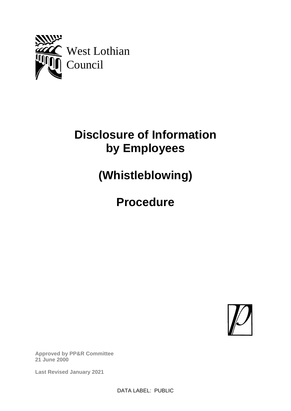

# **Disclosure of Information by Employees**

**(Whistleblowing)**

**Procedure**



**Approved by PP&R Committee 21 June 2000**

**Last Revised January 2021**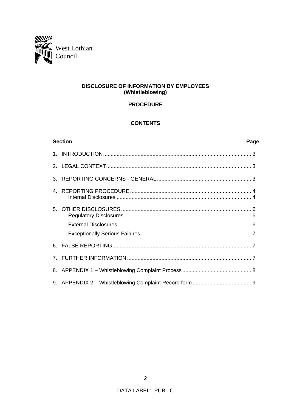

# **DISCLOSURE OF INFORMATION BY EMPLOYEES** (Whistleblowing)

# **PROCEDURE**

# **CONTENTS**

| <b>Section</b><br>Page         |  |  |
|--------------------------------|--|--|
|                                |  |  |
|                                |  |  |
| 3.                             |  |  |
| 4                              |  |  |
|                                |  |  |
|                                |  |  |
|                                |  |  |
| 6.                             |  |  |
| $7_{\scriptscriptstyle{\sim}}$ |  |  |
|                                |  |  |
|                                |  |  |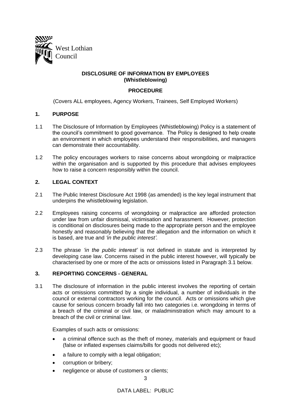

# **DISCLOSURE OF INFORMATION BY EMPLOYEES (Whistleblowing)**

# **PROCEDURE**

(Covers ALL employees, Agency Workers, Trainees, Self Employed Workers)

# **1. PURPOSE**

- 1.1 The Disclosure of Information by Employees (Whistleblowing) Policy is a statement of the council's commitment to good governance. The Policy is designed to help create an environment in which employees understand their responsibilities, and managers can demonstrate their accountability.
- 1.2 The policy encourages workers to raise concerns about wrongdoing or malpractice within the organisation and is supported by this procedure that advises employees how to raise a concern responsibly within the council.

# **2. LEGAL CONTEXT**

- 2.1 The Public Interest Disclosure Act 1998 (as amended) is the key legal instrument that underpins the whistleblowing legislation.
- 2.2 Employees raising concerns of wrongdoing or malpractice are afforded protection under law from unfair dismissal, victimisation and harassment. However, protection is conditional on disclosures being made to the appropriate person and the employee honestly and reasonably believing that the allegation and the information on which it is based, are true and *'in the public interest'.*
- 2.3 The phrase *'in the public interest'* is not defined in statute and is interpreted by developing case law. Concerns raised in the public interest however, will typically be characterised by one or more of the acts or omissions listed in Paragraph 3.1 below.

#### **3. REPORTING CONCERNS - GENERAL**

3.1 The disclosure of information in the public interest involves the reporting of certain acts or omissions committed by a single individual, a number of individuals in the council or external contractors working for the council. Acts or omissions which give cause for serious concern broadly fall into two categories i.e. wrongdoing in terms of a breach of the criminal or civil law, or maladministration which may amount to a breach of the civil or criminal law.

Examples of such acts or omissions:

- a criminal offence such as the theft of money, materials and equipment or fraud (false or inflated expenses claims/bills for goods not delivered etc);
- a failure to comply with a legal obligation;
- corruption or bribery;
- negligence or abuse of customers or clients;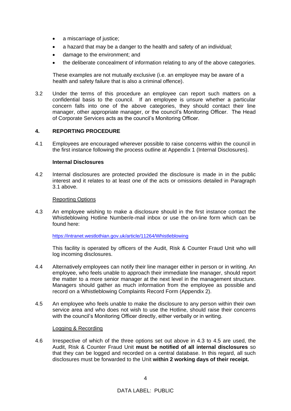- a miscarriage of justice;
- a hazard that may be a danger to the health and safety of an individual;
- damage to the environment; and
- the deliberate concealment of information relating to any of the above categories.

These examples are not mutually exclusive (i.e. an employee may be aware of a health and safety failure that is also a criminal offence).

3.2 Under the terms of this procedure an employee can report such matters on a confidential basis to the council. If an employee is unsure whether a particular concern falls into one of the above categories, they should contact their line manager, other appropriate manager, or the council's Monitoring Officer. The Head of Corporate Services acts as the council's Monitoring Officer.

# **4. REPORTING PROCEDURE**

4.1 Employees are encouraged wherever possible to raise concerns within the council in the first instance following the process outline at Appendix 1 (Internal Disclosures).

#### **Internal Disclosures**

4.2 Internal disclosures are protected provided the disclosure is made in in the public interest and it relates to at least one of the acts or omissions detailed in Paragraph 3.1 above.

#### Reporting Options

4.3 An employee wishing to make a disclosure should in the first instance contact the Whistleblowing Hotline Number/e-mail inbox or use the on-line form which can be found here:

#### <https://intranet.westlothian.gov.uk/article/11264/Whistleblowing>

This facility is operated by officers of the Audit, Risk & Counter Fraud Unit who will log incoming disclosures.

- 4.4 Alternatively employees can notify their line manager either in person or in writing. An employee, who feels unable to approach their immediate line manager, should report the matter to a more senior manager at the next level in the management structure. Managers should gather as much information from the employee as possible and record on a Whistleblowing Complaints Record Form (Appendix 2).
- 4.5 An employee who feels unable to make the disclosure to any person within their own service area and who does not wish to use the Hotline, should raise their concerns with the council's Monitoring Officer directly, either verbally or in writing.

#### Logging & Recording

4.6 Irrespective of which of the three options set out above in 4.3 to 4.5 are used, the Audit, Risk & Counter Fraud Unit **must be notified of all internal disclosures** so that they can be logged and recorded on a central database. In this regard, all such disclosures must be forwarded to the Unit **within 2 working days of their receipt.**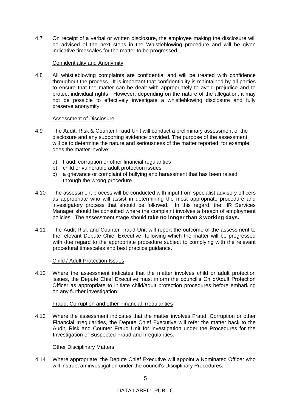4.7 On receipt of a verbal or written disclosure, the employee making the disclosure will be advised of the next steps in the Whistleblowing procedure and will be given indicative timescales for the matter to be progressed.

# Confidentiality and Anonymity

4.8 All whistleblowing complaints are confidential and will be treated with confidence throughout the process. It is important that confidentiality is maintained by all parties to ensure that the matter can be dealt with appropriately to avoid prejudice and to protect individual rights. However, depending on the nature of the allegation, it may not be possible to effectively investigate a whistleblowing disclosure and fully preserve anonymity.

# Assessment of Disclosure

- 4.9 The Audit, Risk & Counter Fraud Unit will conduct a preliminary assessment of the disclosure and any supporting evidence provided. The purpose of the assessment will be to determine the nature and seriousness of the matter reported, for example does the matter involve;
	- a) fraud, corruption or other financial regularities
	- b) child or vulnerable adult protection issues
	- c) a grievance or complaint of bullying and harassment that has been raised through the wrong procedure
- 4.10 The assessment process will be conducted with input from specialist advisory officers as appropriate who will assist in determining the most appropriate procedure and investigatory process that should be followed. In this regard, the HR Services Manager should be consulted where the complaint involves a breach of employment policies. The assessment stage should **take no longer than 3 working days.**
- 4.11 The Audit Risk and Counter Fraud Unit will report the outcome of the assessment to the relevant Depute Chief Executive, following which the matter will be progressed with due regard to the appropriate procedure subject to complying with the relevant procedural timescales and best practice guidance.

#### Child / Adult Protection Issues

4.12 Where the assessment indicates that the matter involves child or adult protection issues, the Depute Chief Executive must inform the council's Child/Adult Protection Officer as appropriate to initiate child/adult protection procedures before embarking on any further investigation.

# Fraud, Corruption and other Financial Irregularities

4.13 Where the assessment indicates that the matter involves Fraud, Corruption or other Financial Irregularities, the Depute Chief Executive will refer the matter back to the Audit, Risk and Counter Fraud Unit for investigation under the Procedures for the Investigation of Suspected Fraud and Irregularities.

#### Other Disciplinary Matters

4.14 Where appropriate, the Depute Chief Executive will appoint a Nominated Officer who will instruct an investigation under the council's Disciplinary Procedures.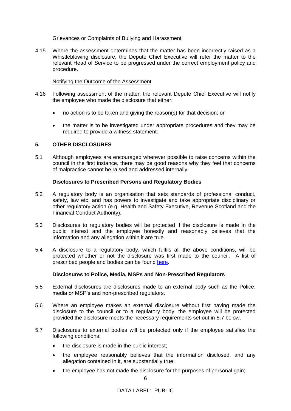#### Grievances or Complaints of Bullying and Harassment

4.15 Where the assessment determines that the matter has been incorrectly raised as a Whistleblowing disclosure, the Depute Chief Executive will refer the matter to the relevant Head of Service to be progressed under the correct employment policy and procedure.

# Notifying the Outcome of the Assessment

- 4.16 Following assessment of the matter, the relevant Depute Chief Executive will notify the employee who made the disclosure that either:
	- no action is to be taken and giving the reason(s) for that decision; or
	- the matter is to be investigated under appropriate procedures and they may be required to provide a witness statement.

# **5. OTHER DISCLOSURES**

5.1 Although employees are encouraged wherever possible to raise concerns within the council in the first instance, there may be good reasons why they feel that concerns of malpractice cannot be raised and addressed internally.

# **Disclosures to Prescribed Persons and Regulatory Bodies**

- 5.2 A regulatory body is an organisation that sets standards of professional conduct, safety, law etc. and has powers to investigate and take appropriate disciplinary or other regulatory action (e.g. Health and Safety Executive, Revenue Scotland and the Financial Conduct Authority).
- 5.3 Disclosures to regulatory bodies will be protected if the disclosure is made in the public interest and the employee honestly and reasonably believes that the information and any allegation within it are true.
- 5.4 A disclosure to a regulatory body, which fulfils all the above conditions, will be protected whether or not the disclosure was first made to the council. A list of prescribed people and bodies can be found [here.](https://www.gov.uk/government/publications/blowing-the-whistle-list-of-prescribed-people-and-bodies--2)

#### **Disclosures to Police, Media, MSPs and Non-Prescribed Regulators**

- 5.5 External disclosures are disclosures made to an external body such as the Police, media or MSP's and non-prescribed regulators.
- 5.6 Where an employee makes an external disclosure without first having made the disclosure to the council or to a regulatory body, the employee will be protected provided the disclosure meets the necessary requirements set out in 5.7 below.
- 5.7 Disclosures to external bodies will be protected only if the employee satisfies the following conditions:
	- the disclosure is made in the public interest;
	- the employee reasonably believes that the information disclosed, and any allegation contained in it, are substantially true;
	- the employee has not made the disclosure for the purposes of personal gain;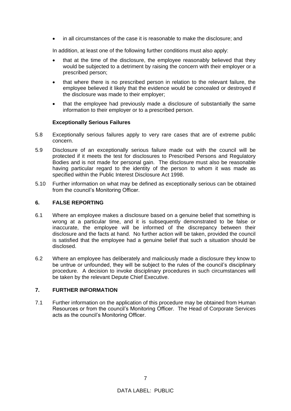• in all circumstances of the case it is reasonable to make the disclosure; and

In addition, at least one of the following further conditions must also apply:

- that at the time of the disclosure, the employee reasonably believed that they would be subjected to a detriment by raising the concern with their employer or a prescribed person;
- that where there is no prescribed person in relation to the relevant failure, the employee believed it likely that the evidence would be concealed or destroyed if the disclosure was made to their employer;
- that the employee had previously made a disclosure of substantially the same information to their employer or to a prescribed person.

#### **Exceptionally Serious Failures**

- 5.8 Exceptionally serious failures apply to very rare cases that are of extreme public concern.
- 5.9 Disclosure of an exceptionally serious failure made out with the council will be protected if it meets the test for disclosures to Prescribed Persons and Regulatory Bodies and is not made for personal gain. The disclosure must also be reasonable having particular regard to the identity of the person to whom it was made as specified within the Public Interest Disclosure Act 1998.
- 5.10 Further information on what may be defined as exceptionally serious can be obtained from the council's Monitoring Officer.

#### **6. FALSE REPORTING**

- 6.1 Where an employee makes a disclosure based on a genuine belief that something is wrong at a particular time, and it is subsequently demonstrated to be false or inaccurate, the employee will be informed of the discrepancy between their disclosure and the facts at hand. No further action will be taken, provided the council is satisfied that the employee had a genuine belief that such a situation should be disclosed.
- 6.2 Where an employee has deliberately and maliciously made a disclosure they know to be untrue or unfounded, they will be subject to the rules of the council's disciplinary procedure. A decision to invoke disciplinary procedures in such circumstances will be taken by the relevant Depute Chief Executive.

#### **7. FURTHER INFORMATION**

7.1 Further information on the application of this procedure may be obtained from Human Resources or from the council's Monitoring Officer. The Head of Corporate Services acts as the council's Monitoring Officer.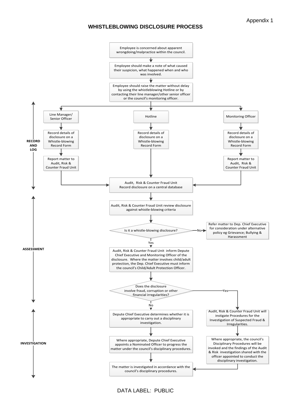#### **WHISTLEBLOWING DISCLOSURE PROCESS**



DATA LABEL: PUBLIC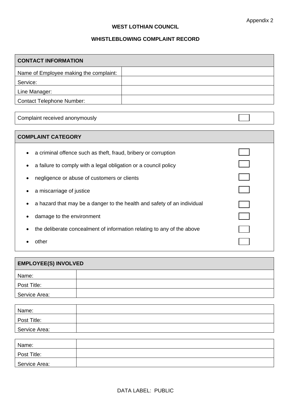$\Box$ 

# **WEST LOTHIAN COUNCIL**

# **WHISTLEBLOWING COMPLAINT RECORD**

| <b>CONTACT INFORMATION</b>             |  |  |  |  |
|----------------------------------------|--|--|--|--|
| Name of Employee making the complaint: |  |  |  |  |
| Service:                               |  |  |  |  |
| Line Manager:                          |  |  |  |  |
| <b>Contact Telephone Number:</b>       |  |  |  |  |

Complaint received anonymously

# **COMPLAINT CATEGORY**

- a criminal offence such as theft, fraud, bribery or corruption
- a failure to comply with a legal obligation or a council policy
- negligence or abuse of customers or clients
- a miscarriage of justice
- a hazard that may be a danger to the health and safety of an individual
- damage to the environment
- the deliberate concealment of information relating to any of the above
- other

| <b>EMPLOYEE(S) INVOLVED</b> |  |  |  |  |  |  |
|-----------------------------|--|--|--|--|--|--|
| Name:                       |  |  |  |  |  |  |
| Post Title:                 |  |  |  |  |  |  |
| Service Area:               |  |  |  |  |  |  |

| Name:         |  |
|---------------|--|
| Post Title:   |  |
| Service Area: |  |
|               |  |
| Name:         |  |
| Post Title:   |  |
| Service Area: |  |